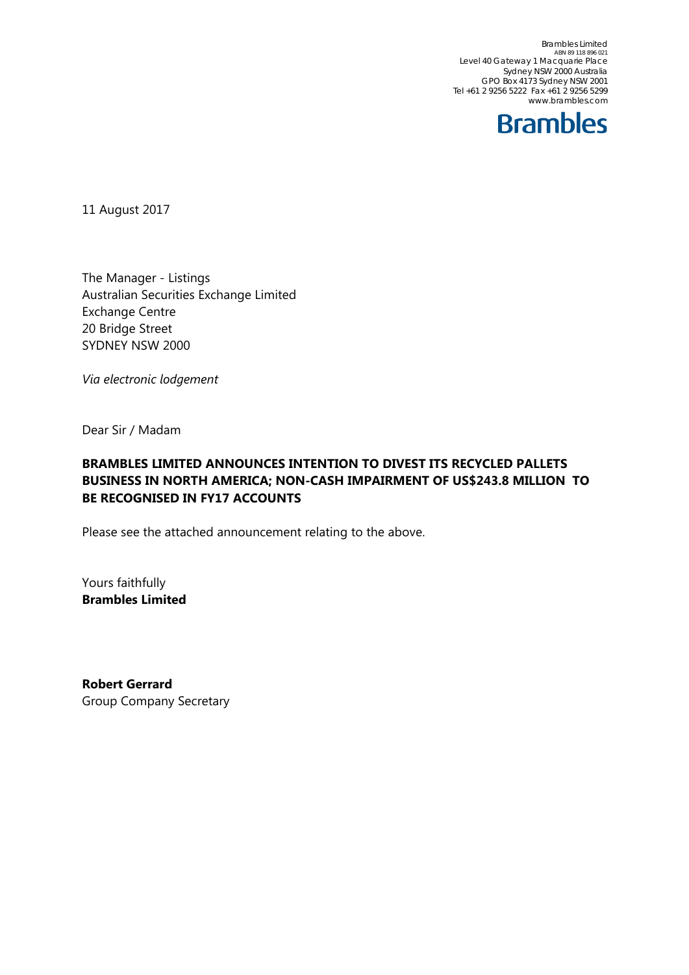Brambles Limited<br>ABN 89 118 896 021 Level 40 Gateway 1 Macquarie Place Sydney NSW 2000 Australia GPO Box 4173 Sydney NSW 2001 Tel +61 2 9256 5222 Fax +61 2 9256 5299 www.brambles.com



11 August 2017

The Manager - Listings Australian Securities Exchange Limited Exchange Centre 20 Bridge Street SYDNEY NSW 2000

*Via electronic lodgement*

Dear Sir / Madam

### **BRAMBLES LIMITED ANNOUNCES INTENTION TO DIVEST ITS RECYCLED PALLETS BUSINESS IN NORTH AMERICA; NON-CASH IMPAIRMENT OF US\$243.8 MILLION TO BE RECOGNISED IN FY17 ACCOUNTS**

Please see the attached announcement relating to the above.

Yours faithfully **Brambles Limited** 

**Robert Gerrard**  Group Company Secretary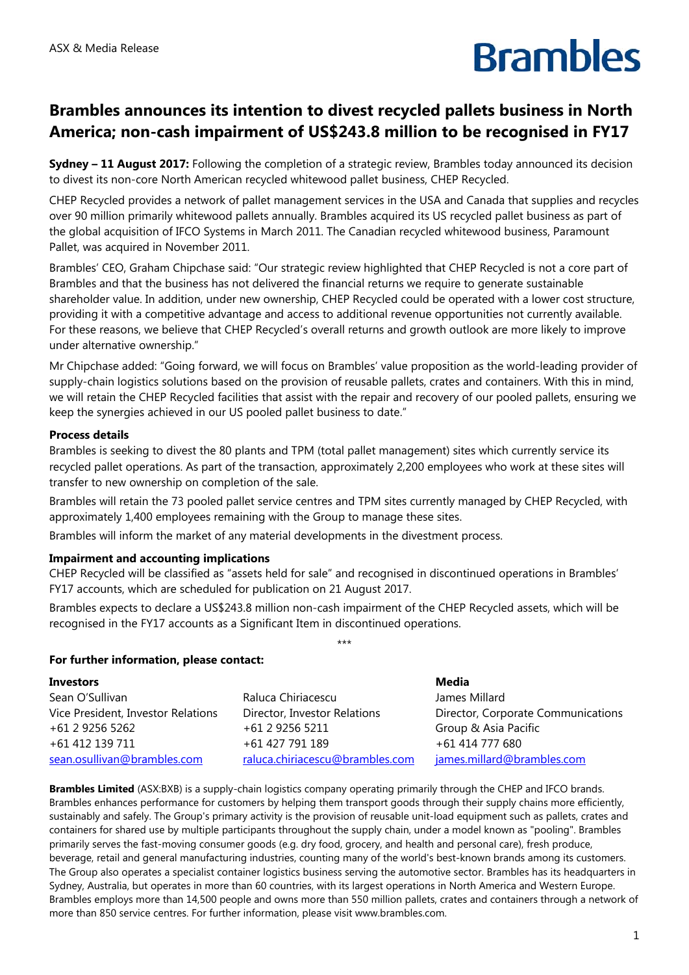# **Brambles**

## **Brambles announces its intention to divest recycled pallets business in North America; non-cash impairment of US\$243.8 million to be recognised in FY17**

**Sydney – 11 August 2017:** Following the completion of a strategic review, Brambles today announced its decision to divest its non-core North American recycled whitewood pallet business, CHEP Recycled.

CHEP Recycled provides a network of pallet management services in the USA and Canada that supplies and recycles over 90 million primarily whitewood pallets annually. Brambles acquired its US recycled pallet business as part of the global acquisition of IFCO Systems in March 2011. The Canadian recycled whitewood business, Paramount Pallet, was acquired in November 2011.

Brambles' CEO, Graham Chipchase said: "Our strategic review highlighted that CHEP Recycled is not a core part of Brambles and that the business has not delivered the financial returns we require to generate sustainable shareholder value. In addition, under new ownership, CHEP Recycled could be operated with a lower cost structure, providing it with a competitive advantage and access to additional revenue opportunities not currently available. For these reasons, we believe that CHEP Recycled's overall returns and growth outlook are more likely to improve under alternative ownership."

Mr Chipchase added: "Going forward, we will focus on Brambles' value proposition as the world-leading provider of supply-chain logistics solutions based on the provision of reusable pallets, crates and containers. With this in mind, we will retain the CHEP Recycled facilities that assist with the repair and recovery of our pooled pallets, ensuring we keep the synergies achieved in our US pooled pallet business to date."

### **Process details**

Brambles is seeking to divest the 80 plants and TPM (total pallet management) sites which currently service its recycled pallet operations. As part of the transaction, approximately 2,200 employees who work at these sites will transfer to new ownership on completion of the sale.

Brambles will retain the 73 pooled pallet service centres and TPM sites currently managed by CHEP Recycled, with approximately 1,400 employees remaining with the Group to manage these sites.

Brambles will inform the market of any material developments in the divestment process.

### **Impairment and accounting implications**

CHEP Recycled will be classified as "assets held for sale" and recognised in discontinued operations in Brambles' FY17 accounts, which are scheduled for publication on 21 August 2017.

Brambles expects to declare a US\$243.8 million non-cash impairment of the CHEP Recycled assets, which will be recognised in the FY17 accounts as a Significant Item in discontinued operations.

\*\*\*

#### **For further information, please contact:**

|                                 | Media                              |
|---------------------------------|------------------------------------|
| Raluca Chiriacescu              | James Millard                      |
| Director, Investor Relations    | Director, Corporate Communications |
| +61 2 9256 5211                 | Group & Asia Pacific               |
| +61 427 791 189                 | +61 414 777 680                    |
| raluca.chiriacescu@brambles.com | james.millard@brambles.com         |
|                                 |                                    |

**Brambles Limited** (ASX:BXB) is a supply-chain logistics company operating primarily through the CHEP and IFCO brands. Brambles enhances performance for customers by helping them transport goods through their supply chains more efficiently, sustainably and safely. The Group's primary activity is the provision of reusable unit-load equipment such as pallets, crates and containers for shared use by multiple participants throughout the supply chain, under a model known as "pooling". Brambles primarily serves the fast-moving consumer goods (e.g. dry food, grocery, and health and personal care), fresh produce, beverage, retail and general manufacturing industries, counting many of the world's best-known brands among its customers. The Group also operates a specialist container logistics business serving the automotive sector. Brambles has its headquarters in Sydney, Australia, but operates in more than 60 countries, with its largest operations in North America and Western Europe. Brambles employs more than 14,500 people and owns more than 550 million pallets, crates and containers through a network of more than 850 service centres. For further information, please visit www.brambles.com.